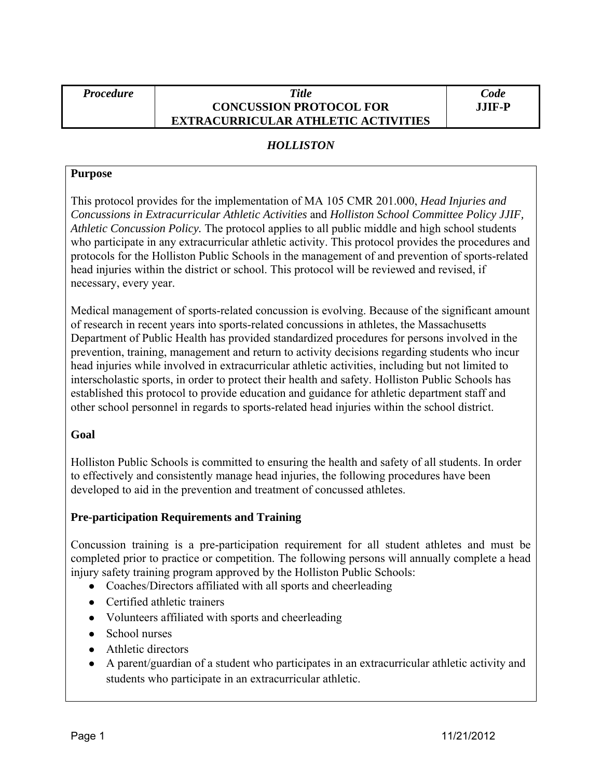### *Procedure Title*  **CONCUSSION PROTOCOL FOR EXTRACURRICULAR ATHLETIC ACTIVITIES**

## *HOLLISTON*

### **Purpose**

This protocol provides for the implementation of MA 105 CMR 201.000, *Head Injuries and Concussions in Extracurricular Athletic Activities* and *Holliston School Committee Policy JJIF, Athletic Concussion Policy.* The protocol applies to all public middle and high school students who participate in any extracurricular athletic activity. This protocol provides the procedures and protocols for the Holliston Public Schools in the management of and prevention of sports-related head injuries within the district or school. This protocol will be reviewed and revised, if necessary, every year.

Medical management of sports-related concussion is evolving. Because of the significant amount of research in recent years into sports-related concussions in athletes, the Massachusetts Department of Public Health has provided standardized procedures for persons involved in the prevention, training, management and return to activity decisions regarding students who incur head injuries while involved in extracurricular athletic activities, including but not limited to interscholastic sports, in order to protect their health and safety. Holliston Public Schools has established this protocol to provide education and guidance for athletic department staff and other school personnel in regards to sports-related head injuries within the school district.

## **Goal**

Holliston Public Schools is committed to ensuring the health and safety of all students. In order to effectively and consistently manage head injuries, the following procedures have been developed to aid in the prevention and treatment of concussed athletes.

## **Pre-participation Requirements and Training**

Concussion training is a pre-participation requirement for all student athletes and must be completed prior to practice or competition. The following persons will annually complete a head injury safety training program approved by the Holliston Public Schools:

- Coaches/Directors affiliated with all sports and cheerleading
- Certified athletic trainers
- Volunteers affiliated with sports and cheerleading
- School nurses
- Athletic directors
- A parent/guardian of a student who participates in an extracurricular athletic activity and students who participate in an extracurricular athletic.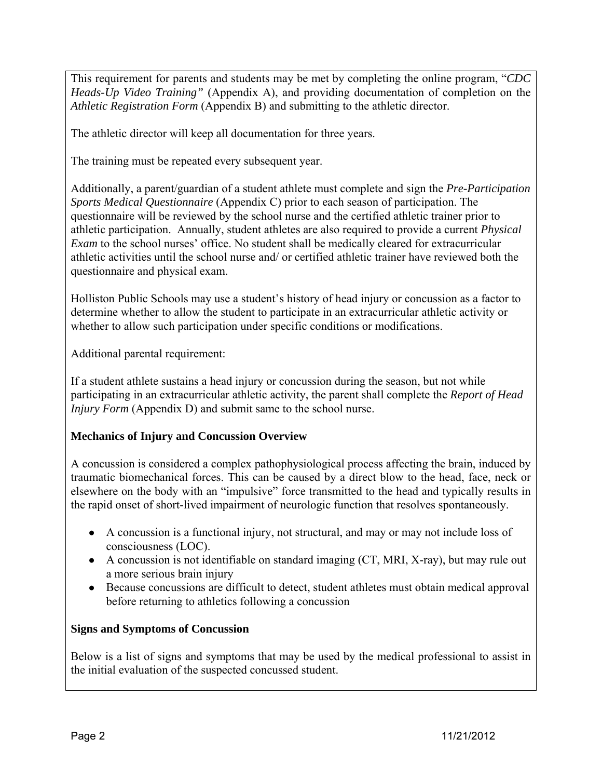This requirement for parents and students may be met by completing the online program, "*CDC Heads-Up Video Training"* (Appendix A), and providing documentation of completion on the *Athletic Registration Form* (Appendix B) and submitting to the athletic director.

The athletic director will keep all documentation for three years.

The training must be repeated every subsequent year.

Additionally, a parent/guardian of a student athlete must complete and sign the *Pre-Participation Sports Medical Questionnaire* (Appendix C) prior to each season of participation. The questionnaire will be reviewed by the school nurse and the certified athletic trainer prior to athletic participation. Annually, student athletes are also required to provide a current *Physical Exam* to the school nurses' office. No student shall be medically cleared for extracurricular athletic activities until the school nurse and/ or certified athletic trainer have reviewed both the questionnaire and physical exam.

Holliston Public Schools may use a student's history of head injury or concussion as a factor to determine whether to allow the student to participate in an extracurricular athletic activity or whether to allow such participation under specific conditions or modifications.

Additional parental requirement:

If a student athlete sustains a head injury or concussion during the season, but not while participating in an extracurricular athletic activity, the parent shall complete the *Report of Head Injury Form* (Appendix D) and submit same to the school nurse.

## **Mechanics of Injury and Concussion Overview**

A concussion is considered a complex pathophysiological process affecting the brain, induced by traumatic biomechanical forces. This can be caused by a direct blow to the head, face, neck or elsewhere on the body with an "impulsive" force transmitted to the head and typically results in the rapid onset of short-lived impairment of neurologic function that resolves spontaneously.

- A concussion is a functional injury, not structural, and may or may not include loss of consciousness (LOC).
- A concussion is not identifiable on standard imaging (CT, MRI, X-ray), but may rule out a more serious brain injury
- Because concussions are difficult to detect, student athletes must obtain medical approval before returning to athletics following a concussion

## **Signs and Symptoms of Concussion**

Below is a list of signs and symptoms that may be used by the medical professional to assist in the initial evaluation of the suspected concussed student.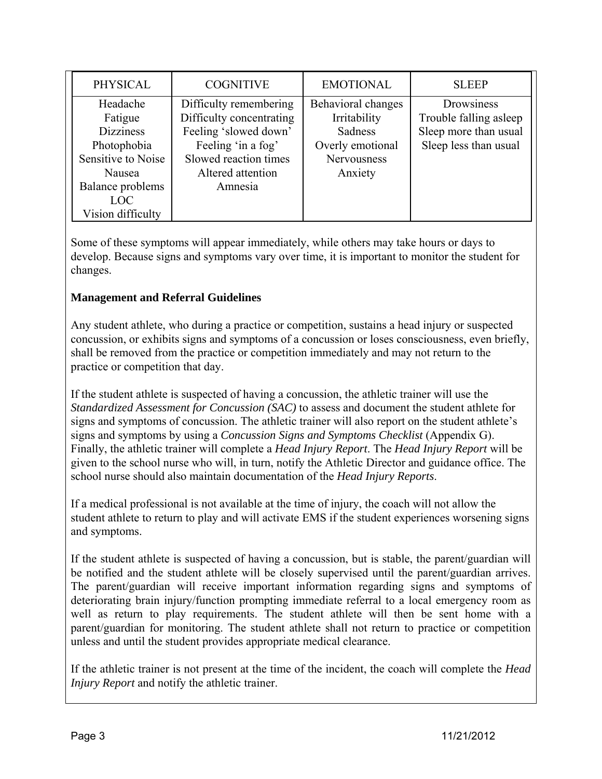| PHYSICAL                                                                                                                                      | <b>COGNITIVE</b>                                                                                                                                           | <b>EMOTIONAL</b>                                                                            | <b>SLEEP</b>                                                                           |
|-----------------------------------------------------------------------------------------------------------------------------------------------|------------------------------------------------------------------------------------------------------------------------------------------------------------|---------------------------------------------------------------------------------------------|----------------------------------------------------------------------------------------|
| Headache<br>Fatigue<br><b>Dizziness</b><br>Photophobia<br>Sensitive to Noise<br>Nausea<br>Balance problems<br><b>LOC</b><br>Vision difficulty | Difficulty remembering<br>Difficulty concentrating<br>Feeling 'slowed down'<br>Feeling 'in a fog'<br>Slowed reaction times<br>Altered attention<br>Amnesia | Behavioral changes<br>Irritability<br>Sadness<br>Overly emotional<br>Nervousness<br>Anxiety | Drowsiness<br>Trouble falling asleep<br>Sleep more than usual<br>Sleep less than usual |

Some of these symptoms will appear immediately, while others may take hours or days to develop. Because signs and symptoms vary over time, it is important to monitor the student for changes.

## **Management and Referral Guidelines**

Any student athlete, who during a practice or competition, sustains a head injury or suspected concussion, or exhibits signs and symptoms of a concussion or loses consciousness, even briefly, shall be removed from the practice or competition immediately and may not return to the practice or competition that day.

If the student athlete is suspected of having a concussion, the athletic trainer will use the *Standardized Assessment for Concussion (SAC)* to assess and document the student athlete for signs and symptoms of concussion. The athletic trainer will also report on the student athlete's signs and symptoms by using a *Concussion Signs and Symptoms Checklist* (Appendix G). Finally, the athletic trainer will complete a *Head Injury Report*. The *Head Injury Report* will be given to the school nurse who will, in turn, notify the Athletic Director and guidance office. The school nurse should also maintain documentation of the *Head Injury Reports*.

If a medical professional is not available at the time of injury, the coach will not allow the student athlete to return to play and will activate EMS if the student experiences worsening signs and symptoms.

If the student athlete is suspected of having a concussion, but is stable, the parent/guardian will be notified and the student athlete will be closely supervised until the parent/guardian arrives. The parent/guardian will receive important information regarding signs and symptoms of deteriorating brain injury/function prompting immediate referral to a local emergency room as well as return to play requirements. The student athlete will then be sent home with a parent/guardian for monitoring. The student athlete shall not return to practice or competition unless and until the student provides appropriate medical clearance.

If the athletic trainer is not present at the time of the incident, the coach will complete the *Head Injury Report* and notify the athletic trainer.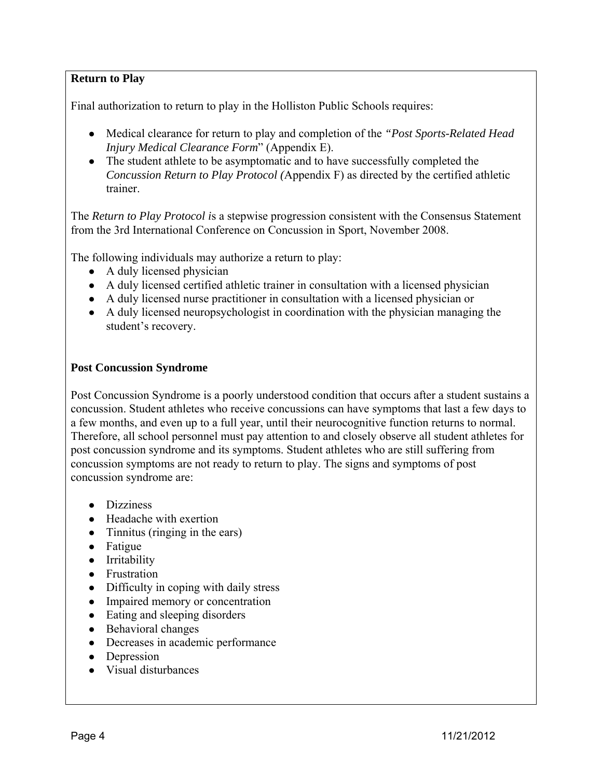## **Return to Play**

Final authorization to return to play in the Holliston Public Schools requires:

- Medical clearance for return to play and completion of the *"Post Sports-Related Head Injury Medical Clearance Form*" (Appendix E).
- The student athlete to be asymptomatic and to have successfully completed the *Concussion Return to Play Protocol (*Appendix F) as directed by the certified athletic trainer.

The *Return to Play Protocol i*s a stepwise progression consistent with the Consensus Statement from the 3rd International Conference on Concussion in Sport, November 2008.

The following individuals may authorize a return to play:

- $\bullet$  A duly licensed physician
- A duly licensed certified athletic trainer in consultation with a licensed physician
- A duly licensed nurse practitioner in consultation with a licensed physician or
- A duly licensed neuropsychologist in coordination with the physician managing the student's recovery.

### **Post Concussion Syndrome**

Post Concussion Syndrome is a poorly understood condition that occurs after a student sustains a concussion. Student athletes who receive concussions can have symptoms that last a few days to a few months, and even up to a full year, until their neurocognitive function returns to normal. Therefore, all school personnel must pay attention to and closely observe all student athletes for post concussion syndrome and its symptoms. Student athletes who are still suffering from concussion symptoms are not ready to return to play. The signs and symptoms of post concussion syndrome are:

- Dizziness
- Headache with exertion
- Tinnitus (ringing in the ears)
- Fatigue
- Irritability
- Frustration
- Difficulty in coping with daily stress
- Impaired memory or concentration
- Eating and sleeping disorders
- Behavioral changes
- Decreases in academic performance
- Depression
- Visual disturbances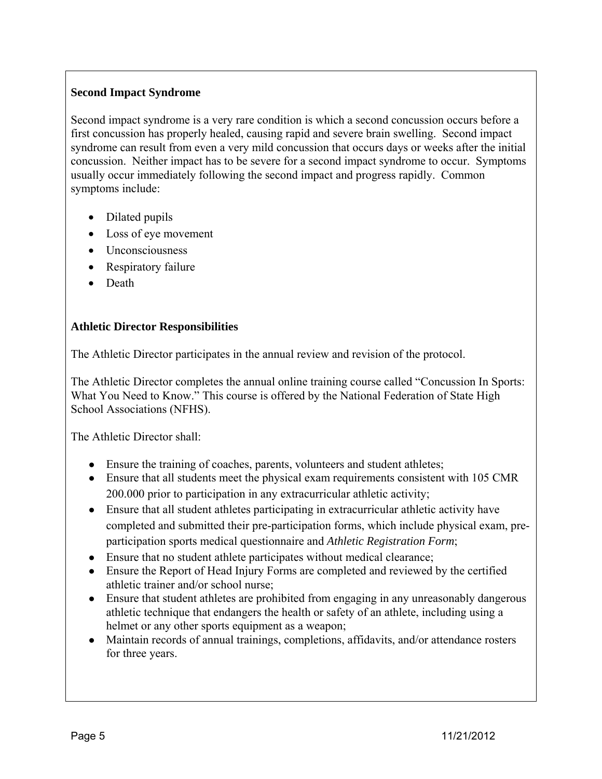## **Second Impact Syndrome**

Second impact syndrome is a very rare condition is which a second concussion occurs before a first concussion has properly healed, causing rapid and severe brain swelling. Second impact syndrome can result from even a very mild concussion that occurs days or weeks after the initial concussion. Neither impact has to be severe for a second impact syndrome to occur. Symptoms usually occur immediately following the second impact and progress rapidly. Common symptoms include:

- Dilated pupils
- Loss of eye movement
- Unconsciousness
- Respiratory failure
- Death

## **Athletic Director Responsibilities**

The Athletic Director participates in the annual review and revision of the protocol.

The Athletic Director completes the annual online training course called "Concussion In Sports: What You Need to Know." This course is offered by the National Federation of State High School Associations (NFHS).

The Athletic Director shall:

- Ensure the training of coaches, parents, volunteers and student athletes;
- Ensure that all students meet the physical exam requirements consistent with 105 CMR 200.000 prior to participation in any extracurricular athletic activity;
- Ensure that all student athletes participating in extracurricular athletic activity have completed and submitted their pre-participation forms, which include physical exam, preparticipation sports medical questionnaire and *Athletic Registration Form*;
- Ensure that no student athlete participates without medical clearance;
- Ensure the Report of Head Injury Forms are completed and reviewed by the certified athletic trainer and/or school nurse;
- Ensure that student athletes are prohibited from engaging in any unreasonably dangerous athletic technique that endangers the health or safety of an athlete, including using a helmet or any other sports equipment as a weapon;
- Maintain records of annual trainings, completions, affidavits, and/or attendance rosters for three years.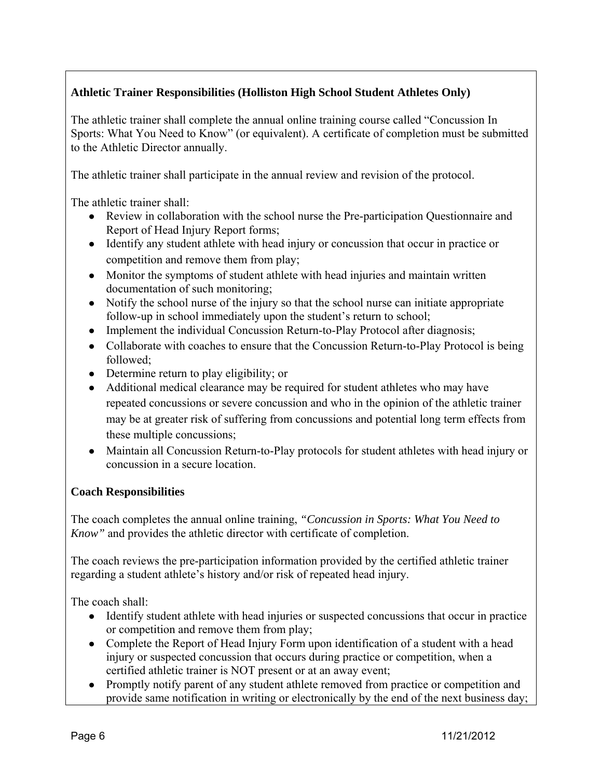## **Athletic Trainer Responsibilities (Holliston High School Student Athletes Only)**

The athletic trainer shall complete the annual online training course called "Concussion In Sports: What You Need to Know" (or equivalent). A certificate of completion must be submitted to the Athletic Director annually.

The athletic trainer shall participate in the annual review and revision of the protocol.

The athletic trainer shall:

- Review in collaboration with the school nurse the Pre-participation Questionnaire and Report of Head Injury Report forms;
- Identify any student athlete with head injury or concussion that occur in practice or competition and remove them from play;
- Monitor the symptoms of student athlete with head injuries and maintain written documentation of such monitoring;
- Notify the school nurse of the injury so that the school nurse can initiate appropriate follow-up in school immediately upon the student's return to school;
- Implement the individual Concussion Return-to-Play Protocol after diagnosis;
- Collaborate with coaches to ensure that the Concussion Return-to-Play Protocol is being followed;
- Determine return to play eligibility; or
- Additional medical clearance may be required for student athletes who may have repeated concussions or severe concussion and who in the opinion of the athletic trainer may be at greater risk of suffering from concussions and potential long term effects from these multiple concussions;
- Maintain all Concussion Return-to-Play protocols for student athletes with head injury or concussion in a secure location.

## **Coach Responsibilities**

The coach completes the annual online training, *"Concussion in Sports: What You Need to Know"* and provides the athletic director with certificate of completion.

The coach reviews the pre-participation information provided by the certified athletic trainer regarding a student athlete's history and/or risk of repeated head injury.

The coach shall:

- Identify student athlete with head injuries or suspected concussions that occur in practice or competition and remove them from play;
- Complete the Report of Head Injury Form upon identification of a student with a head injury or suspected concussion that occurs during practice or competition, when a certified athletic trainer is NOT present or at an away event;
- Promptly notify parent of any student athlete removed from practice or competition and provide same notification in writing or electronically by the end of the next business day;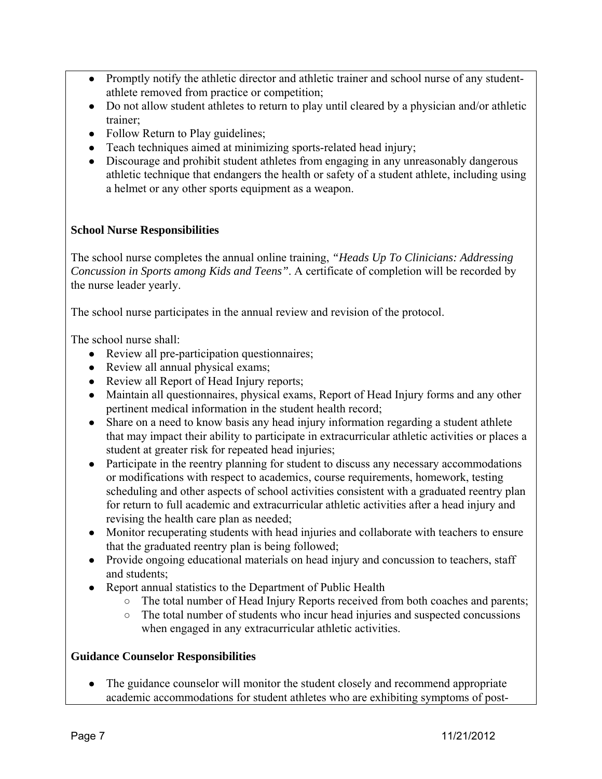- Promptly notify the athletic director and athletic trainer and school nurse of any studentathlete removed from practice or competition;
- Do not allow student athletes to return to play until cleared by a physician and/or athletic trainer;
- Follow Return to Play guidelines;
- Teach techniques aimed at minimizing sports-related head injury;
- Discourage and prohibit student athletes from engaging in any unreasonably dangerous athletic technique that endangers the health or safety of a student athlete, including using a helmet or any other sports equipment as a weapon.

## **School Nurse Responsibilities**

The school nurse completes the annual online training, *"Heads Up To Clinicians: Addressing Concussion in Sports among Kids and Teens"*. A certificate of completion will be recorded by the nurse leader yearly.

The school nurse participates in the annual review and revision of the protocol.

The school nurse shall:

- Review all pre-participation questionnaires;
- Review all annual physical exams;
- Review all Report of Head Injury reports;
- Maintain all questionnaires, physical exams, Report of Head Injury forms and any other pertinent medical information in the student health record;
- Share on a need to know basis any head injury information regarding a student athlete that may impact their ability to participate in extracurricular athletic activities or places a student at greater risk for repeated head injuries;
- Participate in the reentry planning for student to discuss any necessary accommodations or modifications with respect to academics, course requirements, homework, testing scheduling and other aspects of school activities consistent with a graduated reentry plan for return to full academic and extracurricular athletic activities after a head injury and revising the health care plan as needed;
- Monitor recuperating students with head injuries and collaborate with teachers to ensure that the graduated reentry plan is being followed;
- Provide ongoing educational materials on head injury and concussion to teachers, staff and students;
- Report annual statistics to the Department of Public Health
	- The total number of Head Injury Reports received from both coaches and parents;
	- The total number of students who incur head injuries and suspected concussions when engaged in any extracurricular athletic activities.

## **Guidance Counselor Responsibilities**

• The guidance counselor will monitor the student closely and recommend appropriate academic accommodations for student athletes who are exhibiting symptoms of post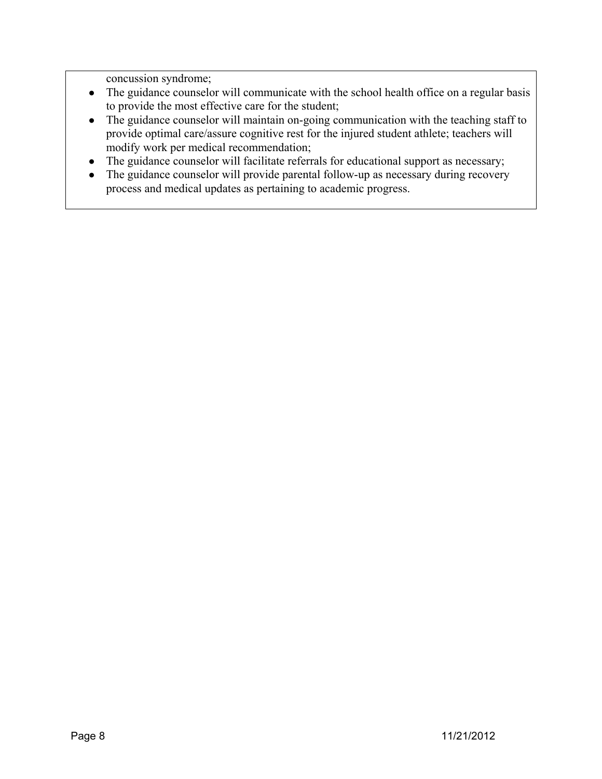concussion syndrome;

- The guidance counselor will communicate with the school health office on a regular basis to provide the most effective care for the student;
- The guidance counselor will maintain on-going communication with the teaching staff to provide optimal care/assure cognitive rest for the injured student athlete; teachers will modify work per medical recommendation;
- The guidance counselor will facilitate referrals for educational support as necessary;
- The guidance counselor will provide parental follow-up as necessary during recovery process and medical updates as pertaining to academic progress.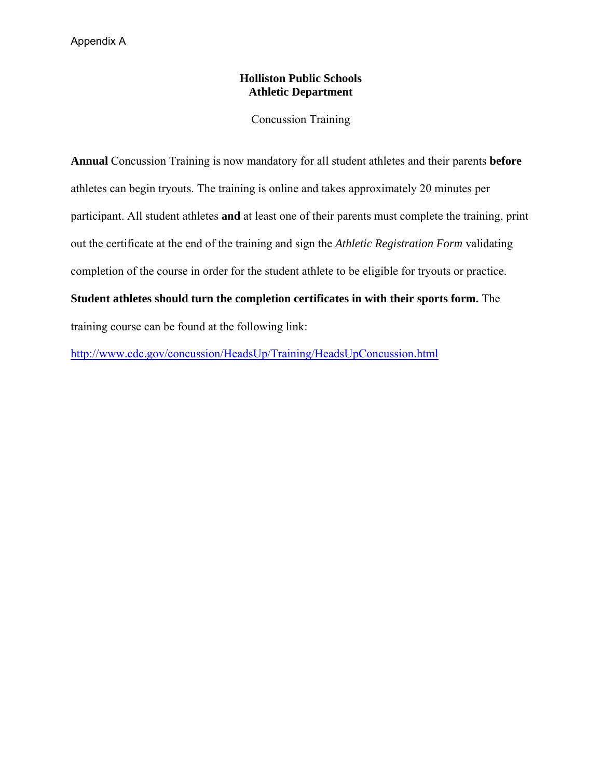## **Holliston Public Schools Athletic Department**

Concussion Training

**Annual** Concussion Training is now mandatory for all student athletes and their parents **before** athletes can begin tryouts. The training is online and takes approximately 20 minutes per participant. All student athletes **and** at least one of their parents must complete the training, print out the certificate at the end of the training and sign the *Athletic Registration Form* validating completion of the course in order for the student athlete to be eligible for tryouts or practice.

# **Student athletes should turn the completion certificates in with their sports form.** The

training course can be found at the following link:

<http://www.cdc.gov/concussion/HeadsUp/Training/HeadsUpConcussion.html>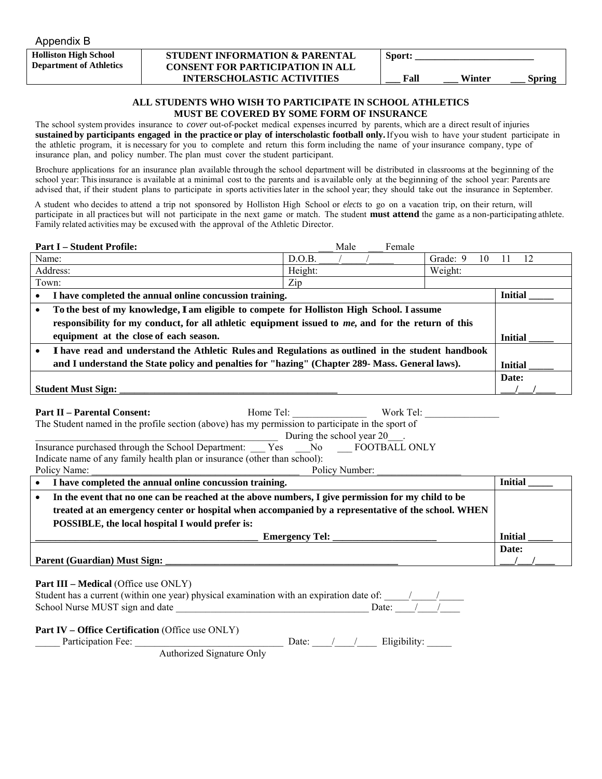Appendix B

**Holliston High School Department of Athletics**

#### **STUDENT INFORMATION & PARENTAL CONSENT FOR PARTICIPATION IN ALL INTERSCHOLASTIC ACTIVITIES**

| <b>Sport:</b> |        |               |
|---------------|--------|---------------|
| Fall          | Winter | <b>Spring</b> |

#### **ALL STUDENTS WHO WISH TO PARTICIPATE IN SCHOOL ATHLETICS MUST BE COVERED BY SOME FORM OF INSURANCE**

The school system provides insurance to *cover* out-of-pocket medical expenses incurred by parents, which are a direct result of injuries sustained by participants engaged in the practice or play of interscholastic football only. If you wish to have your student participate in the athletic program, it is necessary for you to complete and return this form including the name of your insurance company, type of insurance plan, and policy number. The plan must cover the student participant.

Brochure applications for an insurance plan available through the school department will be distributed in classrooms at the beginning of the school year: This insurance is available at a minimal cost to the parents and is available only at the beginning of the school year: Parents are advised that, if their student plans to participate in sports activities later in the school year; they should take out the insurance in September.

A student who decides to attend a trip not sponsored by Holliston High School or *elects* to go on a vacation trip, on their return, will participate in all practices but will not participate in the next game or match. The student **must attend** the game as a non-participating athlete. Family related activities may be excused with the approval of the Athletic Director.

|                                                                                                   | <b>Part I – Student Profile:</b>                                                                   |         | Male           |  | Female |          |    |                |    |
|---------------------------------------------------------------------------------------------------|----------------------------------------------------------------------------------------------------|---------|----------------|--|--------|----------|----|----------------|----|
|                                                                                                   | Name:                                                                                              | D.O.B.  |                |  |        | Grade: 9 | 10 |                | 12 |
|                                                                                                   | Address:                                                                                           | Height: |                |  |        | Weight:  |    |                |    |
|                                                                                                   | Town:                                                                                              | Zip     |                |  |        |          |    |                |    |
| $\bullet$                                                                                         | I have completed the annual online concussion training.                                            |         |                |  |        |          |    | <b>Initial</b> |    |
| To the best of my knowledge, I am eligible to compete for Holliston High School. I assume         |                                                                                                    |         |                |  |        |          |    |                |    |
|                                                                                                   | responsibility for my conduct, for all athletic equipment issued to me, and for the return of this |         |                |  |        |          |    |                |    |
|                                                                                                   | equipment at the close of each season.                                                             |         |                |  |        |          |    | <b>Initial</b> |    |
| I have read and understand the Athletic Rules and Regulations as outlined in the student handbook |                                                                                                    |         |                |  |        |          |    |                |    |
| and I understand the State policy and penalties for "hazing" (Chapter 289- Mass. General laws).   |                                                                                                    |         | <b>Initial</b> |  |        |          |    |                |    |
|                                                                                                   |                                                                                                    |         |                |  |        |          |    | Date:          |    |
|                                                                                                   | <b>Student Must Sign:</b>                                                                          |         |                |  |        |          |    |                |    |

| <b>Part II – Parental Consent:</b><br>Home Tel:<br>Work Tel:                                                    |  |                            |       |  |  |  |  |
|-----------------------------------------------------------------------------------------------------------------|--|----------------------------|-------|--|--|--|--|
| The Student named in the profile section (above) has my permission to participate in the sport of               |  |                            |       |  |  |  |  |
|                                                                                                                 |  | During the school year 20. |       |  |  |  |  |
| Insurance purchased through the School Department: Yes No FOOTBALL ONLY                                         |  |                            |       |  |  |  |  |
| Indicate name of any family health plan or insurance (other than school):                                       |  |                            |       |  |  |  |  |
| Policy Name:                                                                                                    |  | Policy Number:             |       |  |  |  |  |
| • I have completed the annual online concussion training.                                                       |  |                            |       |  |  |  |  |
| In the event that no one can be reached at the above numbers, I give permission for my child to be<br>$\bullet$ |  |                            |       |  |  |  |  |
| treated at an emergency center or hospital when accompanied by a representative of the school. WHEN             |  |                            |       |  |  |  |  |
| POSSIBLE, the local hospital I would prefer is:                                                                 |  |                            |       |  |  |  |  |
| <b>Emergency Tel:</b>                                                                                           |  |                            |       |  |  |  |  |
|                                                                                                                 |  |                            | Date: |  |  |  |  |
| Parent (Guardian) Must Sign:                                                                                    |  |                            |       |  |  |  |  |
|                                                                                                                 |  |                            |       |  |  |  |  |

#### **Part III – Medical** (Office use ONLY)

|                                 | Student has a current (within one year) physical examination with an expiration date of: |             |  |
|---------------------------------|------------------------------------------------------------------------------------------|-------------|--|
| School Nurse MUST sign and date |                                                                                          | Date: $/$ / |  |

#### **Part IV – Office Certification** (Office use ONLY)

| .<br>۰۵۵۰<br>згиства<br>ан<br>ັບບ | )ate |  |
|-----------------------------------|------|--|
|-----------------------------------|------|--|

Authorized Signature Only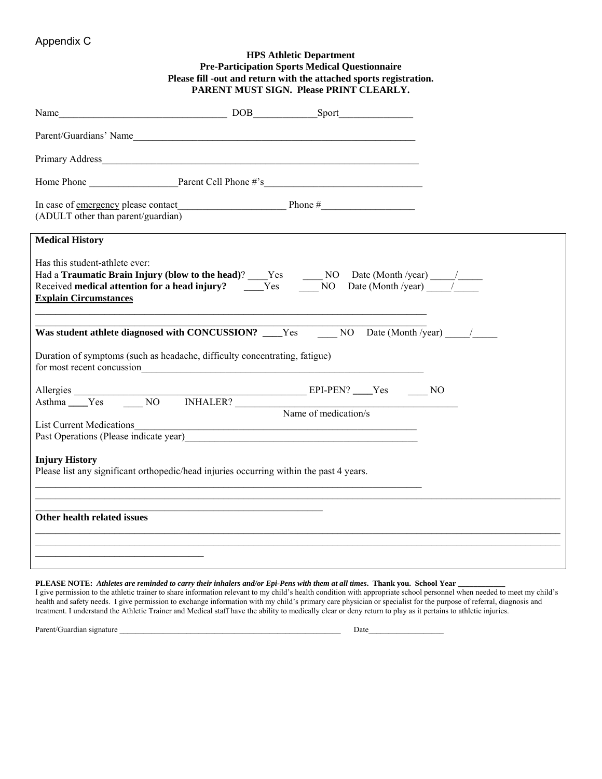## Appendix C

| <b>HPS Athletic Department</b><br><b>Pre-Participation Sports Medical Questionnaire</b><br>Please fill -out and return with the attached sports registration.<br>PARENT MUST SIGN. Please PRINT CLEARLY.                                                                                                    |
|-------------------------------------------------------------------------------------------------------------------------------------------------------------------------------------------------------------------------------------------------------------------------------------------------------------|
|                                                                                                                                                                                                                                                                                                             |
|                                                                                                                                                                                                                                                                                                             |
|                                                                                                                                                                                                                                                                                                             |
|                                                                                                                                                                                                                                                                                                             |
| (ADULT other than parent/guardian)                                                                                                                                                                                                                                                                          |
| <b>Medical History</b>                                                                                                                                                                                                                                                                                      |
| Has this student-athlete ever:<br>Had a <b>Traumatic Brain Injury (blow to the head</b> )? <u>San Step NO</u> Date (Month /year) 1. The Received <b>medical attention for a head injury?</b> Sen NO Date (Month /year) 1. The Received medical attention for a head injury?<br><b>Explain Circumstances</b> |
| Was student athlete diagnosed with CONCUSSION? Ves NO Date (Month /year) /                                                                                                                                                                                                                                  |
| Duration of symptoms (such as headache, difficulty concentrating, fatigue)<br>for most recent concussion<br><u>Example 2016</u>                                                                                                                                                                             |
|                                                                                                                                                                                                                                                                                                             |
| Name of medication/s                                                                                                                                                                                                                                                                                        |
| <b>List Current Medications</b><br><u> 1989 - Johann Barn, mars ann an t-Amhainn an t-Amhainn an t-Amhainn an t-Amhainn an t-Amhainn an t-Amhainn an </u><br>Past Operations (Please indicate year)<br><u>Example 2006</u>                                                                                  |
| <b>Injury History</b><br>Please list any significant orthopedic/head injuries occurring within the past 4 years.                                                                                                                                                                                            |
| Other health related issues                                                                                                                                                                                                                                                                                 |
|                                                                                                                                                                                                                                                                                                             |

**PLEASE NOTE:** *Athletes are reminded to carry their inhalers and/or Epi-Pens with them at all times***. Thank you. School Year \_\_\_\_\_\_\_\_\_\_\_\_** 

I give permission to the athletic trainer to share information relevant to my child's health condition with appropriate school personnel when needed to meet my child's health and safety needs. I give permission to exchange information with my child's primary care physician or specialist for the purpose of referral, diagnosis and treatment. I understand the Athletic Trainer and Medical staff have the ability to medically clear or deny return to play as it pertains to athletic injuries.

Parent/Guardian signature \_\_\_\_\_\_\_\_\_\_\_\_\_\_\_\_\_\_\_\_\_\_\_\_\_\_\_\_\_\_\_\_\_\_\_\_\_\_\_\_\_\_\_\_\_\_\_\_\_\_\_\_\_\_\_\_ Date\_\_\_\_\_\_\_\_\_\_\_\_\_\_\_\_\_\_\_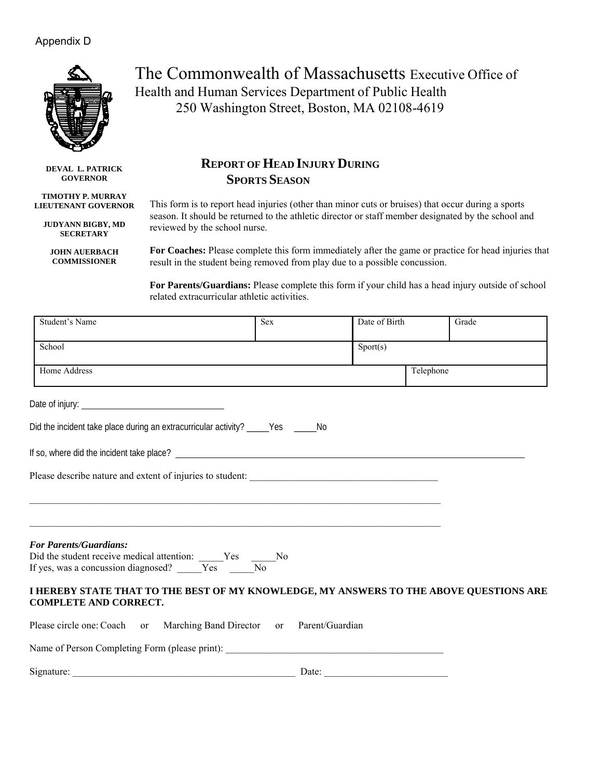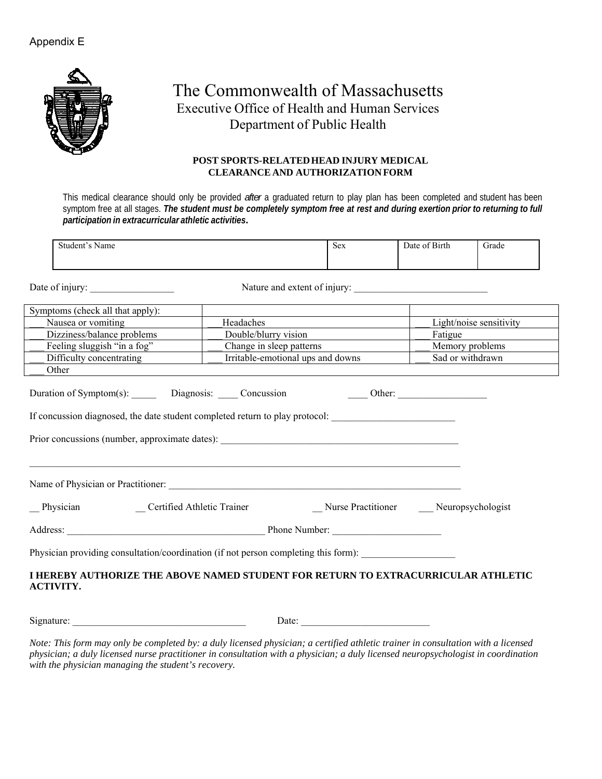

## The Commonwealth of Massachusetts Executive Office of Health and Human Services Department of Public Health

#### **POST SPORTS-RELATED HEAD INJURY MEDICAL CLEARANCE AND AUTHORIZATION FORM**

This medical clearance should only be provided *after* a graduated return to play plan has been completed and student has been symptom free at all stages. *The student must be completely symptom free at rest and during exertion prior to returning to full participation in extracurricular athletic activities***.**

| Name<br>student^<br>◡ | $sex$ | $\sim$ $\sim$ $\sim$<br>)ate<br>of Birth<br>$\sim$ + | Grade |
|-----------------------|-------|------------------------------------------------------|-------|
|                       |       |                                                      |       |

Date of injury: Nature and extent of injury:

| Symptoms (check all that apply):                                                                                                               |                                   |  |                         |  |  |  |
|------------------------------------------------------------------------------------------------------------------------------------------------|-----------------------------------|--|-------------------------|--|--|--|
| Nausea or vomiting                                                                                                                             | Headaches                         |  | Light/noise sensitivity |  |  |  |
| Dizziness/balance problems                                                                                                                     | Double/blurry vision              |  | Fatigue                 |  |  |  |
| Feeling sluggish "in a fog"                                                                                                                    | Change in sleep patterns          |  | Memory problems         |  |  |  |
| Difficulty concentrating                                                                                                                       | Irritable-emotional ups and downs |  | Sad or withdrawn        |  |  |  |
| Other                                                                                                                                          |                                   |  |                         |  |  |  |
| Duration of Symptom(s): Diagnosis: Concussion Concession Cher:<br>If concussion diagnosed, the date student completed return to play protocol: |                                   |  |                         |  |  |  |
|                                                                                                                                                |                                   |  |                         |  |  |  |
|                                                                                                                                                |                                   |  |                         |  |  |  |
|                                                                                                                                                |                                   |  |                         |  |  |  |
| Physician providing consultation/coordination (if not person completing this form):                                                            |                                   |  |                         |  |  |  |
| I HEREBY AUTHORIZE THE ABOVE NAMED STUDENT FOR RETURN TO EXTRACURRICULAR ATHLETIC<br><b>ACTIVITY.</b>                                          |                                   |  |                         |  |  |  |

Signature: \_\_\_\_\_\_\_\_\_\_\_\_\_\_\_\_\_\_\_\_\_\_\_\_\_\_\_\_\_\_\_\_\_\_\_ Date: \_\_\_\_\_\_\_\_\_\_\_\_\_\_\_\_\_\_\_\_\_\_\_\_\_\_

*Note: This form may only be completed by: a duly licensed physician; a certified athletic trainer in consultation with a licensed physician; a duly licensed nurse practitioner in consultation with a physician; a duly licensed neuropsychologist in coordination with the physician managing the student's recovery.*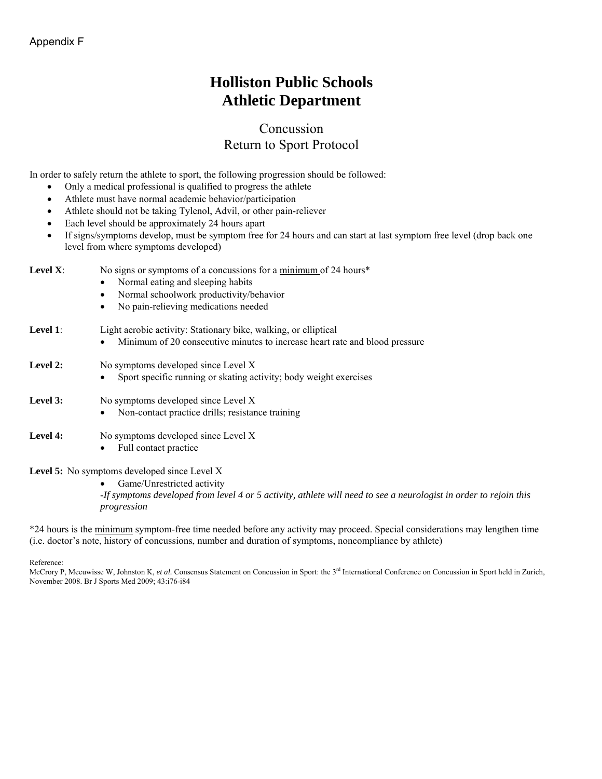## **Holliston Public Schools Athletic Department**

## Concussion Return to Sport Protocol

In order to safely return the athlete to sport, the following progression should be followed:

- Only a medical professional is qualified to progress the athlete
- Athlete must have normal academic behavior/participation
- Athlete should not be taking Tylenol, Advil, or other pain-reliever
- Each level should be approximately 24 hours apart
- If signs/symptoms develop, must be symptom free for 24 hours and can start at last symptom free level (drop back one level from where symptoms developed)

| Level $X$ : | No signs or symptoms of a concussions for a minimum of 24 hours*<br>Normal eating and sleeping habits<br>Normal schoolwork productivity/behavior<br>$\bullet$<br>No pain-relieving medications needed<br>$\bullet$ |
|-------------|--------------------------------------------------------------------------------------------------------------------------------------------------------------------------------------------------------------------|
| Level 1:    | Light aerobic activity: Stationary bike, walking, or elliptical<br>Minimum of 20 consecutive minutes to increase heart rate and blood pressure                                                                     |
| Level 2:    | No symptoms developed since Level X<br>Sport specific running or skating activity; body weight exercises                                                                                                           |
| Level 3:    | No symptoms developed since Level X<br>Non-contact practice drills; resistance training                                                                                                                            |
| Level 4:    | No symptoms developed since Level X<br>Full contact practice                                                                                                                                                       |

#### **Level 5:** No symptoms developed since Level X

 Game/Unrestricted activity -*If symptoms developed from level 4 or 5 activity, athlete will need to see a neurologist in order to rejoin this progression*

\*24 hours is the minimum symptom-free time needed before any activity may proceed. Special considerations may lengthen time (i.e. doctor's note, history of concussions, number and duration of symptoms, noncompliance by athlete)

Reference:

McCrory P, Meeuwisse W, Johnston K, *et al.* Consensus Statement on Concussion in Sport: the 3<sup>rd</sup> International Conference on Concussion in Sport held in Zurich, November 2008. Br J Sports Med 2009; 43:i76-i84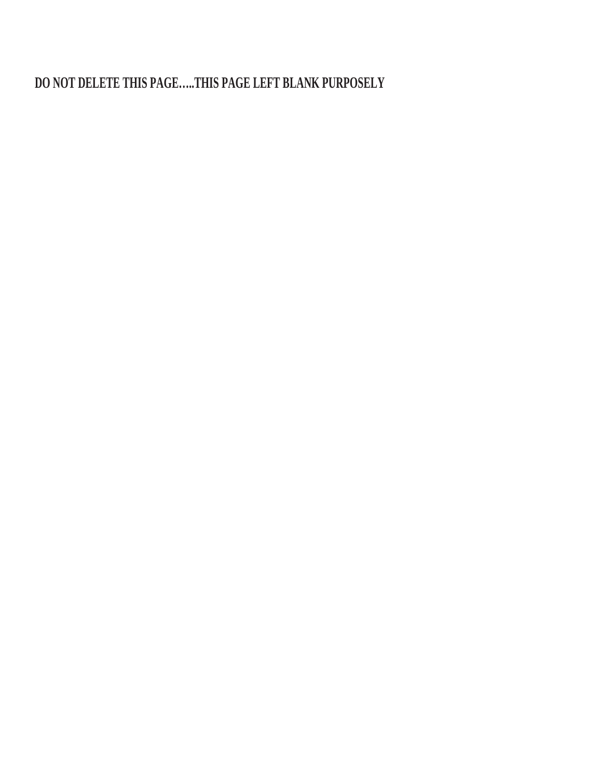**DO NOT DELETE THIS PAGE…..THIS PAGE LEFT BLANK PURPOSELY**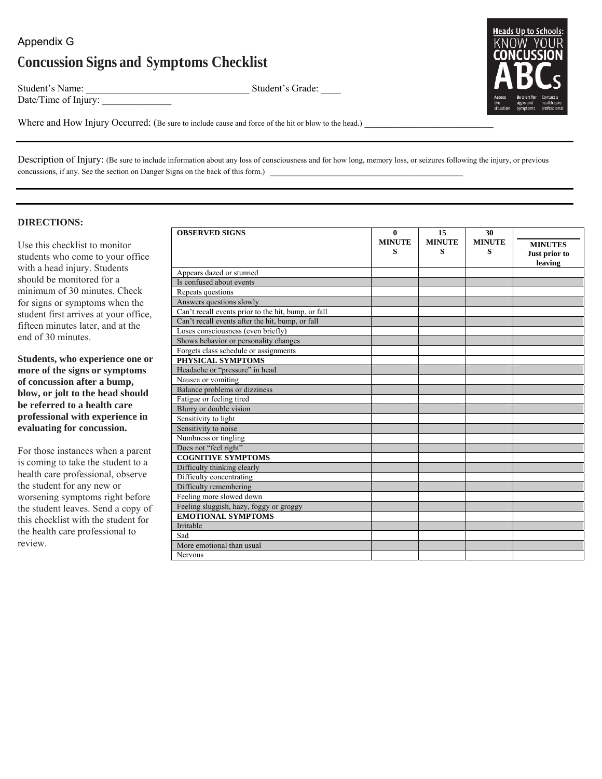## Appendix G **Concussion Signs and Symptoms Checklist**

Date/Time of Injury:

Student's Name: \_\_\_\_\_\_\_\_\_\_\_\_\_\_\_\_\_\_\_\_\_\_\_\_\_\_\_\_\_\_\_\_\_ Student's Grade: \_\_\_\_



Where and How Injury Occurred: (Be sure to include cause and force of the hit or blow to the head.)

Description of Injury: (Be sure to include information about any loss of consciousness and for how long, memory loss, or seizures following the injury, or previous concussions, if any. See the section on Danger Signs on the back of this form.) \_\_\_\_\_\_\_\_\_\_\_\_\_\_\_\_\_\_\_\_\_\_\_\_\_\_\_\_\_\_\_\_\_\_\_\_\_\_\_

#### **DIRECTIONS:**

Use this checklist to monitor students who come to your office with a head injury. Students should be monitored for a minimum of 30 minutes. Check for signs or symptoms when the student first arrives at your office, fifteen minutes later, and at the end of 30 minutes.

**Students, who experience one or more of the signs or symptoms of concussion after a bump, blow, or jolt to the head should be referred to a health care professional with experience in evaluating for concussion.**

For those instances when a parent is coming to take the student to a health care professional, observe the student for any new or worsening symptoms right before the student leaves. Send a copy of this checklist with the student for the health care professional to review.

| <b>OBSERVED SIGNS</b>                               | $\theta$<br><b>MINUTE</b> | 15<br><b>MINUTE</b> | 30<br><b>MINUTE</b> | <b>MINUTES</b>           |
|-----------------------------------------------------|---------------------------|---------------------|---------------------|--------------------------|
|                                                     | s                         | S                   | s                   | Just prior to<br>leaving |
| Appears dazed or stunned                            |                           |                     |                     |                          |
| Is confused about events                            |                           |                     |                     |                          |
| Repeats questions                                   |                           |                     |                     |                          |
| Answers questions slowly                            |                           |                     |                     |                          |
| Can't recall events prior to the hit, bump, or fall |                           |                     |                     |                          |
| Can't recall events after the hit, bump, or fall    |                           |                     |                     |                          |
| Loses consciousness (even briefly)                  |                           |                     |                     |                          |
| Shows behavior or personality changes               |                           |                     |                     |                          |
| Forgets class schedule or assignments               |                           |                     |                     |                          |
| PHYSICAL SYMPTOMS                                   |                           |                     |                     |                          |
| Headache or "pressure" in head                      |                           |                     |                     |                          |
| Nausea or vomiting                                  |                           |                     |                     |                          |
| Balance problems or dizziness                       |                           |                     |                     |                          |
| Fatigue or feeling tired                            |                           |                     |                     |                          |
| Blurry or double vision                             |                           |                     |                     |                          |
| Sensitivity to light                                |                           |                     |                     |                          |
| Sensitivity to noise                                |                           |                     |                     |                          |
| Numbness or tingling                                |                           |                     |                     |                          |
| Does not "feel right"                               |                           |                     |                     |                          |
| <b>COGNITIVE SYMPTOMS</b>                           |                           |                     |                     |                          |
| Difficulty thinking clearly                         |                           |                     |                     |                          |
| Difficulty concentrating                            |                           |                     |                     |                          |
| Difficulty remembering                              |                           |                     |                     |                          |
| Feeling more slowed down                            |                           |                     |                     |                          |
| Feeling sluggish, hazy, foggy or groggy             |                           |                     |                     |                          |
| <b>EMOTIONAL SYMPTOMS</b>                           |                           |                     |                     |                          |
| Irritable                                           |                           |                     |                     |                          |
| Sad                                                 |                           |                     |                     |                          |
| More emotional than usual                           |                           |                     |                     |                          |
| Nervous                                             |                           |                     |                     |                          |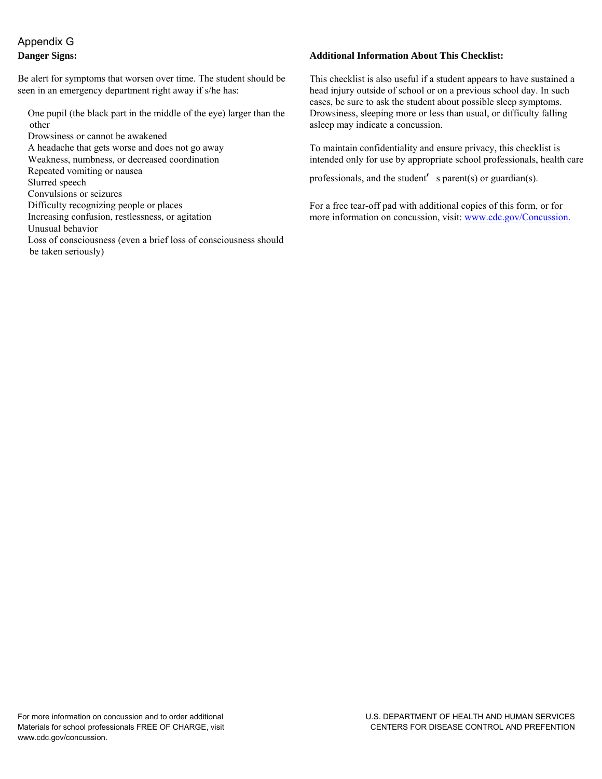## Appendix G **Danger Signs:**

be taken seriously)

Be alert for symptoms that worsen over time. The student should be seen in an emergency department right away if s/he has:

 One pupil (the black part in the middle of the eye) larger than the other

 Drowsiness or cannot be awakened A headache that gets worse and does not go away Weakness, numbness, or decreased coordination Repeated vomiting or nausea Slurred speech Convulsions or seizures Difficulty recognizing people or places Increasing confusion, restlessness, or agitation Unusual behavior Loss of consciousness (even a brief loss of consciousness should

#### **Additional Information About This Checklist:**

This checklist is also useful if a student appears to have sustained a head injury outside of school or on a previous school day. In such cases, be sure to ask the student about possible sleep symptoms. Drowsiness, sleeping more or less than usual, or difficulty falling asleep may indicate a concussion.

To maintain confidentiality and ensure privacy, this checklist is intended only for use by appropriate school professionals, health care

professionals, and the student**'** s parent(s) or guardian(s).

For a free tear-off pad with additional copies of this form, or for more information on concussion, visit: [www.cdc.gov/Concussion.](http://www.cdc.gov/Concussion)